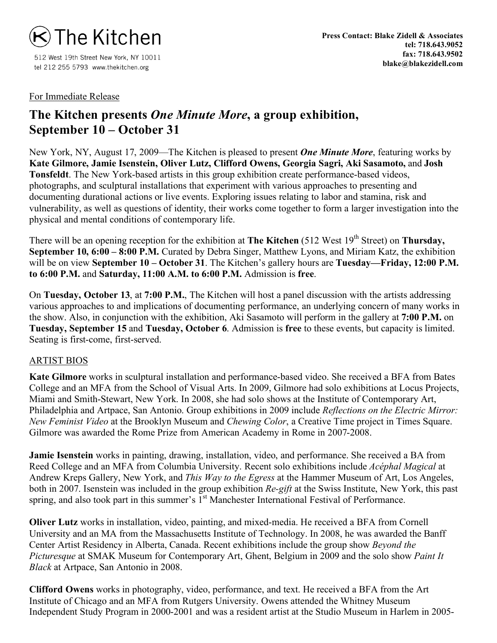

512 West 19th Street New York, NY 10011 tel 212 255 5793 www.thekitchen.org

# For Immediate Release

# **The Kitchen presents** *One Minute More***, a group exhibition, September 10 – October 31**

New York, NY, August 17, 2009—The Kitchen is pleased to present *One Minute More*, featuring works by **Kate Gilmore, Jamie Isenstein, Oliver Lutz, Clifford Owens, Georgia Sagri, Aki Sasamoto,** and **Josh Tonsfeldt**. The New York-based artists in this group exhibition create performance-based videos, photographs, and sculptural installations that experiment with various approaches to presenting and documenting durational actions or live events. Exploring issues relating to labor and stamina, risk and vulnerability, as well as questions of identity, their works come together to form a larger investigation into the physical and mental conditions of contemporary life.

There will be an opening reception for the exhibition at **The Kitchen** (512 West 19<sup>th</sup> Street) on **Thursday**, **September 10, 6:00 – 8:00 P.M.** Curated by Debra Singer, Matthew Lyons, and Miriam Katz, the exhibition will be on view **September 10 – October 31**. The Kitchen's gallery hours are **Tuesday—Friday, 12:00 P.M. to 6:00 P.M.** and **Saturday, 11:00 A.M. to 6:00 P.M.** Admission is **free**.

On **Tuesday, October 13**, at **7:00 P.M.**, The Kitchen will host a panel discussion with the artists addressing various approaches to and implications of documenting performance, an underlying concern of many works in the show. Also, in conjunction with the exhibition, Aki Sasamoto will perform in the gallery at **7:00 P.M.** on **Tuesday, September 15** and **Tuesday, October 6**. Admission is **free** to these events, but capacity is limited. Seating is first-come, first-served.

### ARTIST BIOS

**Kate Gilmore** works in sculptural installation and performance-based video. She received a BFA from Bates College and an MFA from the School of Visual Arts. In 2009, Gilmore had solo exhibitions at Locus Projects, Miami and Smith-Stewart, New York. In 2008, she had solo shows at the Institute of Contemporary Art, Philadelphia and Artpace, San Antonio. Group exhibitions in 2009 include *Reflections on the Electric Mirror: New Feminist Video* at the Brooklyn Museum and *Chewing Color*, a Creative Time project in Times Square. Gilmore was awarded the Rome Prize from American Academy in Rome in 2007-2008.

**Jamie Isenstein** works in painting, drawing, installation, video, and performance. She received a BA from Reed College and an MFA from Columbia University. Recent solo exhibitions include *Acéphal Magical* at Andrew Kreps Gallery, New York, and *This Way to the Egress* at the Hammer Museum of Art, Los Angeles, both in 2007. Isenstein was included in the group exhibition *Re-gift* at the Swiss Institute, New York, this past spring, and also took part in this summer's 1<sup>st</sup> Manchester International Festival of Performance.

**Oliver Lutz** works in installation, video, painting, and mixed-media. He received a BFA from Cornell University and an MA from the Massachusetts Institute of Technology. In 2008, he was awarded the Banff Center Artist Residency in Alberta, Canada. Recent exhibitions include the group show *Beyond the Picturesque* at SMAK Museum for Contemporary Art, Ghent, Belgium in 2009 and the solo show *Paint It Black* at Artpace, San Antonio in 2008.

**Clifford Owens** works in photography, video, performance, and text. He received a BFA from the Art Institute of Chicago and an MFA from Rutgers University. Owens attended the Whitney Museum Independent Study Program in 2000-2001 and was a resident artist at the Studio Museum in Harlem in 2005